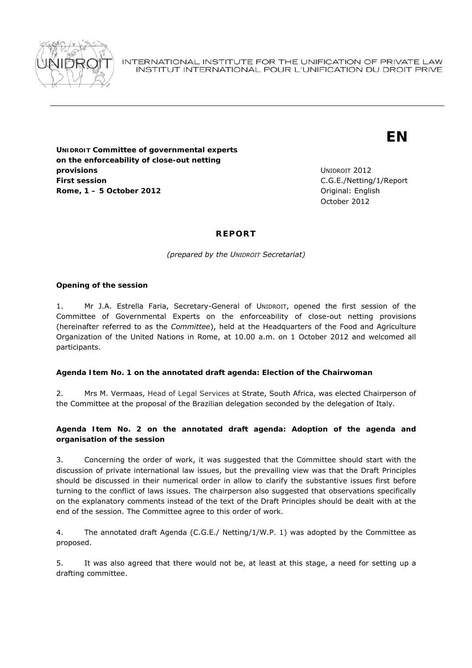

# **EN**

**UNIDROIT Committee of governmental experts on the enforceability of close-out netting provisions First session Rome, 1 – 5 October 2012 Driginal: English** 

UNIDROIT 2012 C.G.E./Netting/1/Report October 2012

# **REPORT**

*(prepared by the UNIDROIT Secretariat)* 

#### **Opening of the session**

1. Mr J.A. Estrella Faria, Secretary-General of UNIDROIT, opened the first session of the Committee of Governmental Experts on the enforceability of close-out netting provisions (hereinafter referred to as the *Committee*), held at the Headquarters of the Food and Agriculture Organization of the United Nations in Rome, at 10.00 a.m. on 1 October 2012 and welcomed all participants.

# **Agenda Item No. 1 on the annotated draft agenda: Election of the Chairwoman**

2. Mrs M. Vermaas, Head of Legal Services at Strate, South Africa, was elected Chairperson of the Committee at the proposal of the Brazilian delegation seconded by the delegation of Italy.

# **Agenda Item No. 2 on the annotated draft agenda: Adoption of the agenda and organisation of the session**

3. Concerning the order of work, it was suggested that the Committee should start with the discussion of private international law issues, but the prevailing view was that the Draft Principles should be discussed in their numerical order in allow to clarify the substantive issues first before turning to the conflict of laws issues. The chairperson also suggested that observations specifically on the explanatory comments instead of the text of the Draft Principles should be dealt with at the end of the session. The Committee agree to this order of work.

4. The annotated draft Agenda (C.G.E./ Netting/1/W.P. 1) was adopted by the Committee as proposed.

5. It was also agreed that there would not be, at least at this stage, a need for setting up a drafting committee.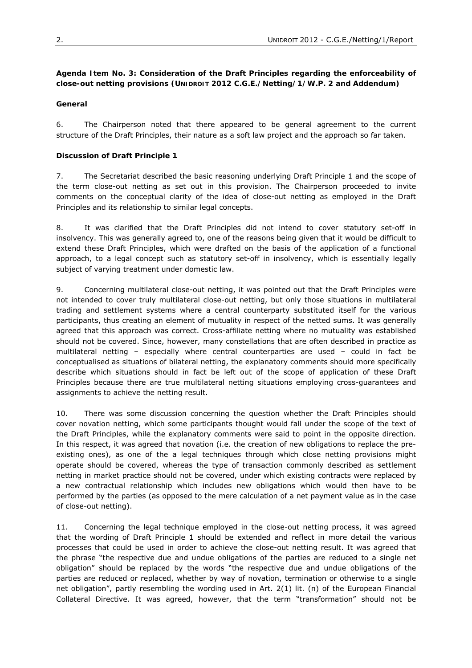# **Agenda Item No. 3: Consideration of the Draft Principles regarding the enforceability of close-out netting provisions (UNIDROIT 2012 C.G.E./Netting/1/W.P. 2 and Addendum)**

# **General**

6. The Chairperson noted that there appeared to be general agreement to the current structure of the Draft Principles, their nature as a soft law project and the approach so far taken.

# **Discussion of Draft Principle 1**

7. The Secretariat described the basic reasoning underlying Draft Principle 1 and the scope of the term close-out netting as set out in this provision. The Chairperson proceeded to invite comments on the conceptual clarity of the idea of close-out netting as employed in the Draft Principles and its relationship to similar legal concepts.

8. It was clarified that the Draft Principles did not intend to cover statutory set-off in insolvency. This was generally agreed to, one of the reasons being given that it would be difficult to extend these Draft Principles, which were drafted on the basis of the application of a functional approach, to a legal concept such as statutory set-off in insolvency, which is essentially legally subject of varying treatment under domestic law.

9. Concerning multilateral close-out netting, it was pointed out that the Draft Principles were not intended to cover truly multilateral close-out netting, but only those situations in multilateral trading and settlement systems where a central counterparty substituted itself for the various participants, thus creating an element of mutuality in respect of the netted sums. It was generally agreed that this approach was correct. Cross-affiliate netting where no mutuality was established should not be covered. Since, however, many constellations that are often described in practice as multilateral netting – especially where central counterparties are used – could in fact be conceptualised as situations of bilateral netting, the explanatory comments should more specifically describe which situations should in fact be left out of the scope of application of these Draft Principles because there are true multilateral netting situations employing cross-guarantees and assignments to achieve the netting result.

10. There was some discussion concerning the question whether the Draft Principles should cover novation netting, which some participants thought would fall under the scope of the text of the Draft Principles, while the explanatory comments were said to point in the opposite direction. In this respect, it was agreed that novation (i.e. the creation of new obligations to replace the preexisting ones), as one of the a legal techniques through which close netting provisions might operate should be covered, whereas the type of transaction commonly described as settlement netting in market practice should not be covered, under which existing contracts were replaced by a new contractual relationship which includes new obligations which would then have to be performed by the parties (as opposed to the mere calculation of a net payment value as in the case of close-out netting).

11. Concerning the legal technique employed in the close-out netting process, it was agreed that the wording of Draft Principle 1 should be extended and reflect in more detail the various processes that could be used in order to achieve the close-out netting result. It was agreed that the phrase "the respective due and undue obligations of the parties are reduced to a single net obligation" should be replaced by the words "the respective due and undue obligations of the parties are reduced or replaced, whether by way of novation, termination or otherwise to a single net obligation", partly resembling the wording used in Art. 2(1) lit. (n) of the European Financial Collateral Directive. It was agreed, however, that the term "transformation" should not be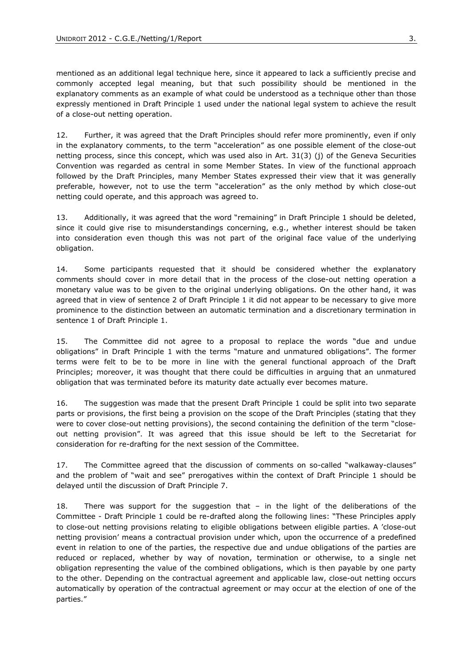mentioned as an additional legal technique here, since it appeared to lack a sufficiently precise and commonly accepted legal meaning, but that such possibility should be mentioned in the explanatory comments as an example of what could be understood as a technique other than those expressly mentioned in Draft Principle 1 used under the national legal system to achieve the result of a close-out netting operation.

12. Further, it was agreed that the Draft Principles should refer more prominently, even if only in the explanatory comments, to the term "acceleration" as one possible element of the close-out netting process, since this concept, which was used also in Art. 31(3) (j) of the Geneva Securities Convention was regarded as central in some Member States. In view of the functional approach followed by the Draft Principles, many Member States expressed their view that it was generally preferable, however, not to use the term "acceleration" as the only method by which close-out netting could operate, and this approach was agreed to.

13. Additionally, it was agreed that the word "remaining" in Draft Principle 1 should be deleted, since it could give rise to misunderstandings concerning, e.g., whether interest should be taken into consideration even though this was not part of the original face value of the underlying obligation.

14. Some participants requested that it should be considered whether the explanatory comments should cover in more detail that in the process of the close-out netting operation a monetary value was to be given to the original underlying obligations. On the other hand, it was agreed that in view of sentence 2 of Draft Principle 1 it did not appear to be necessary to give more prominence to the distinction between an automatic termination and a discretionary termination in sentence 1 of Draft Principle 1.

15. The Committee did not agree to a proposal to replace the words "due and undue obligations" in Draft Principle 1 with the terms "mature and unmatured obligations". The former terms were felt to be to be more in line with the general functional approach of the Draft Principles; moreover, it was thought that there could be difficulties in arguing that an unmatured obligation that was terminated before its maturity date actually ever becomes mature.

16. The suggestion was made that the present Draft Principle 1 could be split into two separate parts or provisions, the first being a provision on the scope of the Draft Principles (stating that they were to cover close-out netting provisions), the second containing the definition of the term "closeout netting provision". It was agreed that this issue should be left to the Secretariat for consideration for re-drafting for the next session of the Committee.

17. The Committee agreed that the discussion of comments on so-called "walkaway-clauses" and the problem of "wait and see" prerogatives within the context of Draft Principle 1 should be delayed until the discussion of Draft Principle 7.

18. There was support for the suggestion that – in the light of the deliberations of the Committee - Draft Principle 1 could be re-drafted along the following lines: "These Principles apply to close-out netting provisions relating to eligible obligations between eligible parties. A 'close-out netting provision' means a contractual provision under which, upon the occurrence of a predefined event in relation to one of the parties, the respective due and undue obligations of the parties are reduced or replaced, whether by way of novation, termination or otherwise, to a single net obligation representing the value of the combined obligations, which is then payable by one party to the other. Depending on the contractual agreement and applicable law, close-out netting occurs automatically by operation of the contractual agreement or may occur at the election of one of the parties."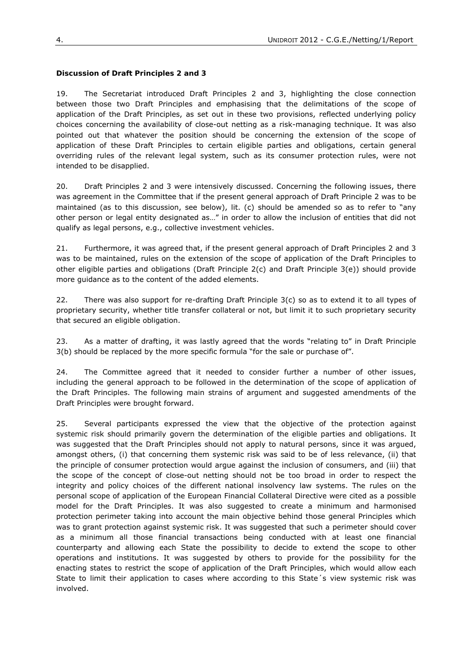# **Discussion of Draft Principles 2 and 3**

19. The Secretariat introduced Draft Principles 2 and 3, highlighting the close connection between those two Draft Principles and emphasising that the delimitations of the scope of application of the Draft Principles, as set out in these two provisions, reflected underlying policy choices concerning the availability of close-out netting as a risk-managing technique. It was also pointed out that whatever the position should be concerning the extension of the scope of application of these Draft Principles to certain eligible parties and obligations, certain general overriding rules of the relevant legal system, such as its consumer protection rules, were not intended to be disapplied.

20. Draft Principles 2 and 3 were intensively discussed. Concerning the following issues, there was agreement in the Committee that if the present general approach of Draft Principle 2 was to be maintained (as to this discussion, see below), lit. (c) should be amended so as to refer to "any other person or legal entity designated as…" in order to allow the inclusion of entities that did not qualify as legal persons, e.g., collective investment vehicles.

21. Furthermore, it was agreed that, if the present general approach of Draft Principles 2 and 3 was to be maintained, rules on the extension of the scope of application of the Draft Principles to other eligible parties and obligations (Draft Principle 2(c) and Draft Principle 3(e)) should provide more guidance as to the content of the added elements.

22. There was also support for re-drafting Draft Principle 3(c) so as to extend it to all types of proprietary security, whether title transfer collateral or not, but limit it to such proprietary security that secured an eligible obligation.

23. As a matter of drafting, it was lastly agreed that the words "relating to" in Draft Principle 3(b) should be replaced by the more specific formula "for the sale or purchase of".

24. The Committee agreed that it needed to consider further a number of other issues, including the general approach to be followed in the determination of the scope of application of the Draft Principles. The following main strains of argument and suggested amendments of the Draft Principles were brought forward.

25. Several participants expressed the view that the objective of the protection against systemic risk should primarily govern the determination of the eligible parties and obligations. It was suggested that the Draft Principles should not apply to natural persons, since it was argued, amongst others, (i) that concerning them systemic risk was said to be of less relevance, (ii) that the principle of consumer protection would argue against the inclusion of consumers, and (iii) that the scope of the concept of close-out netting should not be too broad in order to respect the integrity and policy choices of the different national insolvency law systems. The rules on the personal scope of application of the European Financial Collateral Directive were cited as a possible model for the Draft Principles. It was also suggested to create a minimum and harmonised protection perimeter taking into account the main objective behind those general Principles which was to grant protection against systemic risk. It was suggested that such a perimeter should cover as a minimum all those financial transactions being conducted with at least one financial counterparty and allowing each State the possibility to decide to extend the scope to other operations and institutions. It was suggested by others to provide for the possibility for the enacting states to restrict the scope of application of the Draft Principles, which would allow each State to limit their application to cases where according to this State´s view systemic risk was involved.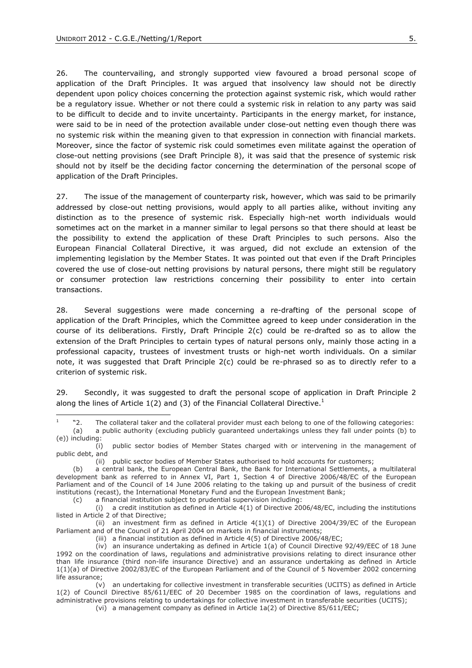-

26. The countervailing, and strongly supported view favoured a broad personal scope of application of the Draft Principles. It was argued that insolvency law should not be directly dependent upon policy choices concerning the protection against systemic risk, which would rather be a regulatory issue. Whether or not there could a systemic risk in relation to any party was said to be difficult to decide and to invite uncertainty. Participants in the energy market, for instance, were said to be in need of the protection available under close-out netting even though there was no systemic risk within the meaning given to that expression in connection with financial markets. Moreover, since the factor of systemic risk could sometimes even militate against the operation of close-out netting provisions (see Draft Principle 8), it was said that the presence of systemic risk should not by itself be the deciding factor concerning the determination of the personal scope of application of the Draft Principles.

27. The issue of the management of counterparty risk, however, which was said to be primarily addressed by close-out netting provisions, would apply to all parties alike, without inviting any distinction as to the presence of systemic risk. Especially high-net worth individuals would sometimes act on the market in a manner similar to legal persons so that there should at least be the possibility to extend the application of these Draft Principles to such persons. Also the European Financial Collateral Directive, it was argued, did not exclude an extension of the implementing legislation by the Member States. It was pointed out that even if the Draft Principles covered the use of close-out netting provisions by natural persons, there might still be regulatory or consumer protection law restrictions concerning their possibility to enter into certain transactions.

28. Several suggestions were made concerning a re-drafting of the personal scope of application of the Draft Principles, which the Committee agreed to keep under consideration in the course of its deliberations. Firstly, Draft Principle 2(c) could be re-drafted so as to allow the extension of the Draft Principles to certain types of natural persons only, mainly those acting in a professional capacity, trustees of investment trusts or high-net worth individuals. On a similar note, it was suggested that Draft Principle 2(c) could be re-phrased so as to directly refer to a criterion of systemic risk.

29. Secondly, it was suggested to draft the personal scope of application in Draft Principle 2 along the lines of Article 1(2) and (3) of the Financial Collateral Directive.<sup>1</sup>

<sup>1</sup> "2. The collateral taker and the collateral provider must each belong to one of the following categories: (a) a public authority (excluding publicly guaranteed undertakings unless they fall under points (b) to

<sup>(</sup>e)) including:

 <sup>(</sup>i) public sector bodies of Member States charged with or intervening in the management of public debt, and

 <sup>(</sup>ii) public sector bodies of Member States authorised to hold accounts for customers;

 <sup>(</sup>b) a central bank, the European Central Bank, the Bank for International Settlements, a multilateral development bank as referred to in Annex VI, Part 1, Section 4 of Directive 2006/48/EC of the European Parliament and of the Council of 14 June 2006 relating to the taking up and pursuit of the business of credit institutions (recast), the International Monetary Fund and the European Investment Bank;

 <sup>(</sup>c) a financial institution subject to prudential supervision including:

<sup>(</sup>i) a credit institution as defined in Article  $4(1)$  of Directive 2006/48/EC, including the institutions listed in Article 2 of that Directive;

<sup>(</sup>ii) an investment firm as defined in Article  $4(1)(1)$  of Directive 2004/39/EC of the European Parliament and of the Council of 21 April 2004 on markets in financial instruments;

 <sup>(</sup>iii) a financial institution as defined in Article 4(5) of Directive 2006/48/EC;

 $(iy)$  an insurance undertaking as defined in Article 1(a) of Council Directive 92/49/EEC of 18 June 1992 on the coordination of laws, regulations and administrative provisions relating to direct insurance other than life insurance (third non-life insurance Directive) and an assurance undertaking as defined in Article 1(1)(a) of Directive 2002/83/EC of the European Parliament and of the Council of 5 November 2002 concerning life assurance;

 <sup>(</sup>v) an undertaking for collective investment in transferable securities (UCITS) as defined in Article 1(2) of Council Directive 85/611/EEC of 20 December 1985 on the coordination of laws, regulations and administrative provisions relating to undertakings for collective investment in transferable securities (UCITS);

 <sup>(</sup>vi) a management company as defined in Article 1a(2) of Directive 85/611/EEC;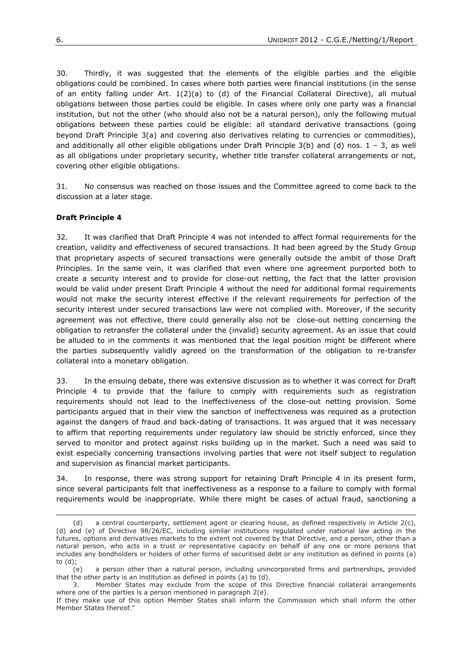30. Thirdly, it was suggested that the elements of the eligible parties and the eligible obligations could be combined. In cases where both parties were financial institutions (in the sense of an entity falling under Art. 1(2)(a) to (d) of the Financial Collateral Directive), all mutual obligations between those parties could be eligible. In cases where only one party was a financial institution, but not the other (who should also not be a natural person), only the following mutual obligations between these parties could be eligible: all standard derivative transactions (going beyond Draft Principle 3(a) and covering also derivatives relating to currencies or commodities), and additionally all other eligible obligations under Draft Principle  $3(b)$  and (d) nos.  $1 - 3$ , as well as all obligations under proprietary security, whether title transfer collateral arrangements or not, covering other eligible obligations.

31. No consensus was reached on those issues and the Committee agreed to come back to the discussion at a later stage.

# **Draft Principle 4**

1

32. It was clarified that Draft Principle 4 was not intended to affect formal requirements for the creation, validity and effectiveness of secured transactions. It had been agreed by the Study Group that proprietary aspects of secured transactions were generally outside the ambit of those Draft Principles. In the same vein, it was clarified that even where one agreement purported both to create a security interest and to provide for close-out netting, the fact that the latter provision would be valid under present Draft Principle 4 without the need for additional formal requirements would not make the security interest effective if the relevant requirements for perfection of the security interest under secured transactions law were not complied with. Moreover, if the security agreement was not effective, there could generally also not be close-out netting concerning the obligation to retransfer the collateral under the (invalid) security agreement. As an issue that could be alluded to in the comments it was mentioned that the legal position might be different where the parties subsequently validly agreed on the transformation of the obligation to re-transfer collateral into a monetary obligation.

33. In the ensuing debate, there was extensive discussion as to whether it was correct for Draft Principle 4 to provide that the failure to comply with requirements such as registration requirements should not lead to the ineffectiveness of the close-out netting provision. Some participants argued that in their view the sanction of ineffectiveness was required as a protection against the dangers of fraud and back-dating of transactions. It was argued that it was necessary to affirm that reporting requirements under regulatory law should be strictly enforced, since they served to monitor and protect against risks building up in the market. Such a need was said to exist especially concerning transactions involving parties that were not itself subject to regulation and supervision as financial market participants.

34. In response, there was strong support for retaining Draft Principle 4 in its present form, since several participants felt that ineffectiveness as a response to a failure to comply with formal requirements would be inappropriate. While there might be cases of actual fraud, sanctioning a

 <sup>(</sup>d) a central counterparty, settlement agent or clearing house, as defined respectively in Article 2(c), (d) and (e) of Directive 98/26/EC, including similar institutions regulated under national law acting in the futures, options and derivatives markets to the extent not covered by that Directive, and a person, other than a natural person, who acts in a trust or representative capacity on behalf of any one or more persons that includes any bondholders or holders of other forms of securitised debt or any institution as defined in points (a) to (d);

 <sup>(</sup>e) a person other than a natural person, including unincorporated firms and partnerships, provided that the other party is an institution as defined in points (a) to (d).

 <sup>3.</sup> Member States may exclude from the scope of this Directive financial collateral arrangements where one of the parties is a person mentioned in paragraph 2(e).

If they make use of this option Member States shall inform the Commission which shall inform the other Member States thereof."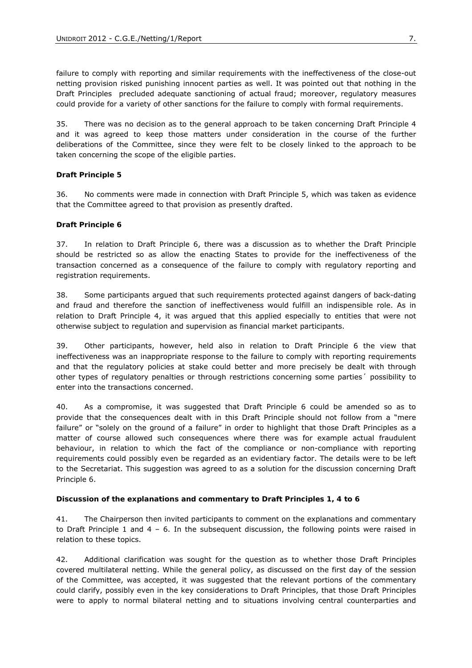failure to comply with reporting and similar requirements with the ineffectiveness of the close-out netting provision risked punishing innocent parties as well. It was pointed out that nothing in the Draft Principles precluded adequate sanctioning of actual fraud; moreover, regulatory measures could provide for a variety of other sanctions for the failure to comply with formal requirements.

35. There was no decision as to the general approach to be taken concerning Draft Principle 4 and it was agreed to keep those matters under consideration in the course of the further deliberations of the Committee, since they were felt to be closely linked to the approach to be taken concerning the scope of the eligible parties.

#### **Draft Principle 5**

36. No comments were made in connection with Draft Principle 5, which was taken as evidence that the Committee agreed to that provision as presently drafted.

#### **Draft Principle 6**

37. In relation to Draft Principle 6, there was a discussion as to whether the Draft Principle should be restricted so as allow the enacting States to provide for the ineffectiveness of the transaction concerned as a consequence of the failure to comply with regulatory reporting and registration requirements.

38. Some participants argued that such requirements protected against dangers of back-dating and fraud and therefore the sanction of ineffectiveness would fulfill an indispensible role. As in relation to Draft Principle 4, it was argued that this applied especially to entities that were not otherwise subject to regulation and supervision as financial market participants.

39. Other participants, however, held also in relation to Draft Principle 6 the view that ineffectiveness was an inappropriate response to the failure to comply with reporting requirements and that the regulatory policies at stake could better and more precisely be dealt with through other types of regulatory penalties or through restrictions concerning some parties´ possibility to enter into the transactions concerned.

40. As a compromise, it was suggested that Draft Principle 6 could be amended so as to provide that the consequences dealt with in this Draft Principle should not follow from a "mere failure" or "solely on the ground of a failure" in order to highlight that those Draft Principles as a matter of course allowed such consequences where there was for example actual fraudulent behaviour, in relation to which the fact of the compliance or non-compliance with reporting requirements could possibly even be regarded as an evidentiary factor. The details were to be left to the Secretariat. This suggestion was agreed to as a solution for the discussion concerning Draft Principle 6.

#### **Discussion of the explanations and commentary to Draft Principles 1, 4 to 6**

41. The Chairperson then invited participants to comment on the explanations and commentary to Draft Principle 1 and 4 – 6. In the subsequent discussion, the following points were raised in relation to these topics.

42. Additional clarification was sought for the question as to whether those Draft Principles covered multilateral netting. While the general policy, as discussed on the first day of the session of the Committee, was accepted, it was suggested that the relevant portions of the commentary could clarify, possibly even in the key considerations to Draft Principles, that those Draft Principles were to apply to normal bilateral netting and to situations involving central counterparties and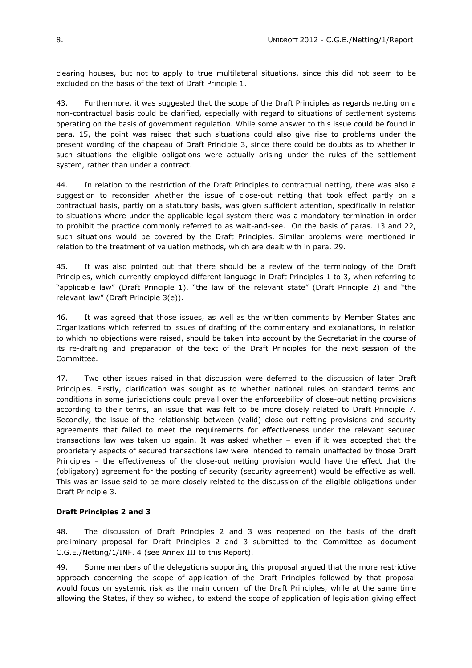clearing houses, but not to apply to true multilateral situations, since this did not seem to be excluded on the basis of the text of Draft Principle 1.

43. Furthermore, it was suggested that the scope of the Draft Principles as regards netting on a non-contractual basis could be clarified, especially with regard to situations of settlement systems operating on the basis of government regulation. While some answer to this issue could be found in para. 15, the point was raised that such situations could also give rise to problems under the present wording of the chapeau of Draft Principle 3, since there could be doubts as to whether in such situations the eligible obligations were actually arising under the rules of the settlement system, rather than under a contract.

44. In relation to the restriction of the Draft Principles to contractual netting, there was also a suggestion to reconsider whether the issue of close-out netting that took effect partly on a contractual basis, partly on a statutory basis, was given sufficient attention, specifically in relation to situations where under the applicable legal system there was a mandatory termination in order to prohibit the practice commonly referred to as wait-and-see. On the basis of paras. 13 and 22, such situations would be covered by the Draft Principles. Similar problems were mentioned in relation to the treatment of valuation methods, which are dealt with in para. 29.

45. It was also pointed out that there should be a review of the terminology of the Draft Principles, which currently employed different language in Draft Principles 1 to 3, when referring to "applicable law" (Draft Principle 1), "the law of the relevant state" (Draft Principle 2) and "the relevant law" (Draft Principle 3(e)).

46. It was agreed that those issues, as well as the written comments by Member States and Organizations which referred to issues of drafting of the commentary and explanations, in relation to which no objections were raised, should be taken into account by the Secretariat in the course of its re-drafting and preparation of the text of the Draft Principles for the next session of the Committee.

47. Two other issues raised in that discussion were deferred to the discussion of later Draft Principles. Firstly, clarification was sought as to whether national rules on standard terms and conditions in some jurisdictions could prevail over the enforceability of close-out netting provisions according to their terms, an issue that was felt to be more closely related to Draft Principle 7. Secondly, the issue of the relationship between (valid) close-out netting provisions and security agreements that failed to meet the requirements for effectiveness under the relevant secured transactions law was taken up again. It was asked whether – even if it was accepted that the proprietary aspects of secured transactions law were intended to remain unaffected by those Draft Principles – the effectiveness of the close-out netting provision would have the effect that the (obligatory) agreement for the posting of security (security agreement) would be effective as well. This was an issue said to be more closely related to the discussion of the eligible obligations under Draft Principle 3.

# **Draft Principles 2 and 3**

48. The discussion of Draft Principles 2 and 3 was reopened on the basis of the draft preliminary proposal for Draft Principles 2 and 3 submitted to the Committee as document C.G.E./Netting/1/INF. 4 (see Annex III to this Report).

49. Some members of the delegations supporting this proposal argued that the more restrictive approach concerning the scope of application of the Draft Principles followed by that proposal would focus on systemic risk as the main concern of the Draft Principles, while at the same time allowing the States, if they so wished, to extend the scope of application of legislation giving effect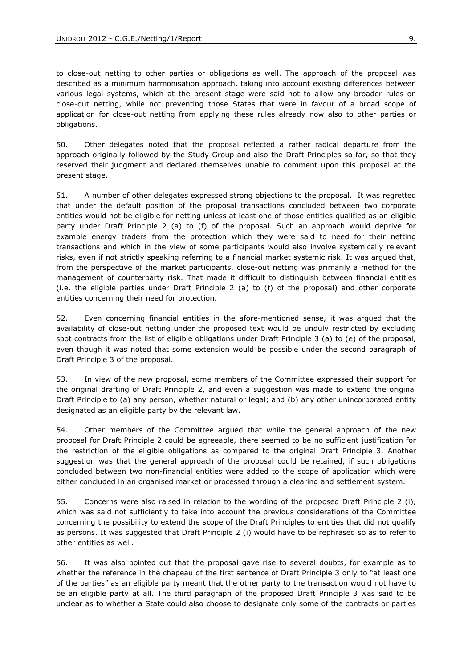to close-out netting to other parties or obligations as well. The approach of the proposal was described as a minimum harmonisation approach, taking into account existing differences between various legal systems, which at the present stage were said not to allow any broader rules on close-out netting, while not preventing those States that were in favour of a broad scope of application for close-out netting from applying these rules already now also to other parties or obligations.

50. Other delegates noted that the proposal reflected a rather radical departure from the approach originally followed by the Study Group and also the Draft Principles so far, so that they reserved their judgment and declared themselves unable to comment upon this proposal at the present stage.

51. A number of other delegates expressed strong objections to the proposal. It was regretted that under the default position of the proposal transactions concluded between two corporate entities would not be eligible for netting unless at least one of those entities qualified as an eligible party under Draft Principle 2 (a) to (f) of the proposal. Such an approach would deprive for example energy traders from the protection which they were said to need for their netting transactions and which in the view of some participants would also involve systemically relevant risks, even if not strictly speaking referring to a financial market systemic risk. It was argued that, from the perspective of the market participants, close-out netting was primarily a method for the management of counterparty risk. That made it difficult to distinguish between financial entities (i.e. the eligible parties under Draft Principle 2 (a) to (f) of the proposal) and other corporate entities concerning their need for protection.

52. Even concerning financial entities in the afore-mentioned sense, it was argued that the availability of close-out netting under the proposed text would be unduly restricted by excluding spot contracts from the list of eligible obligations under Draft Principle 3 (a) to (e) of the proposal, even though it was noted that some extension would be possible under the second paragraph of Draft Principle 3 of the proposal.

53. In view of the new proposal, some members of the Committee expressed their support for the original drafting of Draft Principle 2, and even a suggestion was made to extend the original Draft Principle to (a) any person, whether natural or legal; and (b) any other unincorporated entity designated as an eligible party by the relevant law.

54. Other members of the Committee argued that while the general approach of the new proposal for Draft Principle 2 could be agreeable, there seemed to be no sufficient justification for the restriction of the eligible obligations as compared to the original Draft Principle 3. Another suggestion was that the general approach of the proposal could be retained, if such obligations concluded between two non-financial entities were added to the scope of application which were either concluded in an organised market or processed through a clearing and settlement system.

55. Concerns were also raised in relation to the wording of the proposed Draft Principle 2 (i), which was said not sufficiently to take into account the previous considerations of the Committee concerning the possibility to extend the scope of the Draft Principles to entities that did not qualify as persons. It was suggested that Draft Principle 2 (i) would have to be rephrased so as to refer to other entities as well.

56. It was also pointed out that the proposal gave rise to several doubts, for example as to whether the reference in the chapeau of the first sentence of Draft Principle 3 only to "at least one of the parties" as an eligible party meant that the other party to the transaction would not have to be an eligible party at all. The third paragraph of the proposed Draft Principle 3 was said to be unclear as to whether a State could also choose to designate only some of the contracts or parties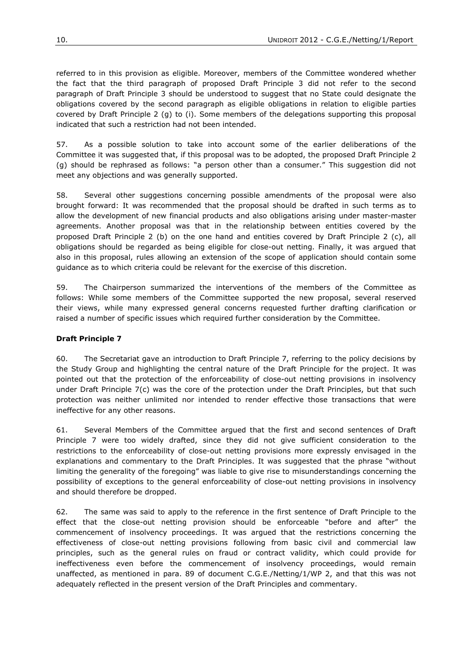referred to in this provision as eligible. Moreover, members of the Committee wondered whether the fact that the third paragraph of proposed Draft Principle 3 did not refer to the second paragraph of Draft Principle 3 should be understood to suggest that no State could designate the obligations covered by the second paragraph as eligible obligations in relation to eligible parties covered by Draft Principle 2 (g) to (i). Some members of the delegations supporting this proposal indicated that such a restriction had not been intended.

57. As a possible solution to take into account some of the earlier deliberations of the Committee it was suggested that, if this proposal was to be adopted, the proposed Draft Principle 2 (g) should be rephrased as follows: "a person other than a consumer." This suggestion did not meet any objections and was generally supported.

58. Several other suggestions concerning possible amendments of the proposal were also brought forward: It was recommended that the proposal should be drafted in such terms as to allow the development of new financial products and also obligations arising under master-master agreements. Another proposal was that in the relationship between entities covered by the proposed Draft Principle 2 (b) on the one hand and entities covered by Draft Principle 2 (c), all obligations should be regarded as being eligible for close-out netting. Finally, it was argued that also in this proposal, rules allowing an extension of the scope of application should contain some guidance as to which criteria could be relevant for the exercise of this discretion.

59. The Chairperson summarized the interventions of the members of the Committee as follows: While some members of the Committee supported the new proposal, several reserved their views, while many expressed general concerns requested further drafting clarification or raised a number of specific issues which required further consideration by the Committee.

# **Draft Principle 7**

60. The Secretariat gave an introduction to Draft Principle 7, referring to the policy decisions by the Study Group and highlighting the central nature of the Draft Principle for the project. It was pointed out that the protection of the enforceability of close-out netting provisions in insolvency under Draft Principle 7(c) was the core of the protection under the Draft Principles, but that such protection was neither unlimited nor intended to render effective those transactions that were ineffective for any other reasons.

61. Several Members of the Committee argued that the first and second sentences of Draft Principle 7 were too widely drafted, since they did not give sufficient consideration to the restrictions to the enforceability of close-out netting provisions more expressly envisaged in the explanations and commentary to the Draft Principles. It was suggested that the phrase "without limiting the generality of the foregoing" was liable to give rise to misunderstandings concerning the possibility of exceptions to the general enforceability of close-out netting provisions in insolvency and should therefore be dropped.

62. The same was said to apply to the reference in the first sentence of Draft Principle to the effect that the close-out netting provision should be enforceable "before and after" the commencement of insolvency proceedings. It was argued that the restrictions concerning the effectiveness of close-out netting provisions following from basic civil and commercial law principles, such as the general rules on fraud or contract validity, which could provide for ineffectiveness even before the commencement of insolvency proceedings, would remain unaffected, as mentioned in para. 89 of document C.G.E./Netting/1/WP 2, and that this was not adequately reflected in the present version of the Draft Principles and commentary.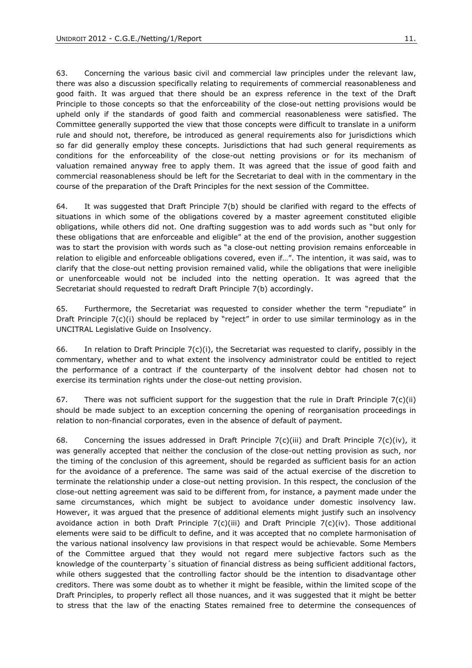63. Concerning the various basic civil and commercial law principles under the relevant law, there was also a discussion specifically relating to requirements of commercial reasonableness and good faith. It was argued that there should be an express reference in the text of the Draft Principle to those concepts so that the enforceability of the close-out netting provisions would be upheld only if the standards of good faith and commercial reasonableness were satisfied. The Committee generally supported the view that those concepts were difficult to translate in a uniform rule and should not, therefore, be introduced as general requirements also for jurisdictions which so far did generally employ these concepts. Jurisdictions that had such general requirements as conditions for the enforceability of the close-out netting provisions or for its mechanism of valuation remained anyway free to apply them. It was agreed that the issue of good faith and commercial reasonableness should be left for the Secretariat to deal with in the commentary in the course of the preparation of the Draft Principles for the next session of the Committee.

64. It was suggested that Draft Principle 7(b) should be clarified with regard to the effects of situations in which some of the obligations covered by a master agreement constituted eligible obligations, while others did not. One drafting suggestion was to add words such as "but only for these obligations that are enforceable and eligible" at the end of the provision, another suggestion was to start the provision with words such as "a close-out netting provision remains enforceable in relation to eligible and enforceable obligations covered, even if…". The intention, it was said, was to clarify that the close-out netting provision remained valid, while the obligations that were ineligible or unenforceable would not be included into the netting operation. It was agreed that the Secretariat should requested to redraft Draft Principle 7(b) accordingly.

65. Furthermore, the Secretariat was requested to consider whether the term "repudiate" in Draft Principle 7(c)(i) should be replaced by "reject" in order to use similar terminology as in the UNCITRAL Legislative Guide on Insolvency.

66. In relation to Draft Principle  $7(c)(i)$ , the Secretariat was requested to clarify, possibly in the commentary, whether and to what extent the insolvency administrator could be entitled to reject the performance of a contract if the counterparty of the insolvent debtor had chosen not to exercise its termination rights under the close-out netting provision.

67. There was not sufficient support for the suggestion that the rule in Draft Principle  $7(c)(ii)$ should be made subject to an exception concerning the opening of reorganisation proceedings in relation to non-financial corporates, even in the absence of default of payment.

68. Concerning the issues addressed in Draft Principle  $7(c)$ (iii) and Draft Principle  $7(c)$ (iv), it was generally accepted that neither the conclusion of the close-out netting provision as such, nor the timing of the conclusion of this agreement, should be regarded as sufficient basis for an action for the avoidance of a preference. The same was said of the actual exercise of the discretion to terminate the relationship under a close-out netting provision. In this respect, the conclusion of the close-out netting agreement was said to be different from, for instance, a payment made under the same circumstances, which might be subject to avoidance under domestic insolvency law. However, it was argued that the presence of additional elements might justify such an insolvency avoidance action in both Draft Principle  $7(c)$ (iii) and Draft Principle  $7(c)$ (iv). Those additional elements were said to be difficult to define, and it was accepted that no complete harmonisation of the various national insolvency law provisions in that respect would be achievable. Some Members of the Committee argued that they would not regard mere subjective factors such as the knowledge of the counterparty´s situation of financial distress as being sufficient additional factors, while others suggested that the controlling factor should be the intention to disadvantage other creditors. There was some doubt as to whether it might be feasible, within the limited scope of the Draft Principles, to properly reflect all those nuances, and it was suggested that it might be better to stress that the law of the enacting States remained free to determine the consequences of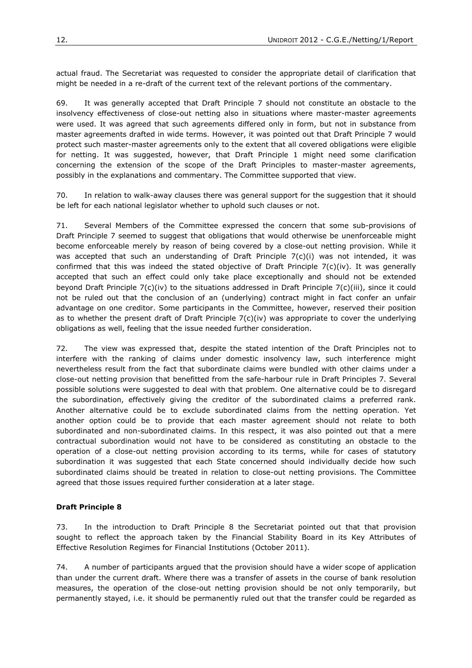actual fraud. The Secretariat was requested to consider the appropriate detail of clarification that might be needed in a re-draft of the current text of the relevant portions of the commentary.

69. It was generally accepted that Draft Principle 7 should not constitute an obstacle to the insolvency effectiveness of close-out netting also in situations where master-master agreements were used. It was agreed that such agreements differed only in form, but not in substance from master agreements drafted in wide terms. However, it was pointed out that Draft Principle 7 would protect such master-master agreements only to the extent that all covered obligations were eligible for netting. It was suggested, however, that Draft Principle 1 might need some clarification concerning the extension of the scope of the Draft Principles to master-master agreements, possibly in the explanations and commentary. The Committee supported that view.

70. In relation to walk-away clauses there was general support for the suggestion that it should be left for each national legislator whether to uphold such clauses or not.

71. Several Members of the Committee expressed the concern that some sub-provisions of Draft Principle 7 seemed to suggest that obligations that would otherwise be unenforceable might become enforceable merely by reason of being covered by a close-out netting provision. While it was accepted that such an understanding of Draft Principle  $7(c)(i)$  was not intended, it was confirmed that this was indeed the stated objective of Draft Principle  $7(c)(iv)$ . It was generally accepted that such an effect could only take place exceptionally and should not be extended beyond Draft Principle 7(c)(iv) to the situations addressed in Draft Principle 7(c)(iii), since it could not be ruled out that the conclusion of an (underlying) contract might in fact confer an unfair advantage on one creditor. Some participants in the Committee, however, reserved their position as to whether the present draft of Draft Principle 7(c)(iv) was appropriate to cover the underlying obligations as well, feeling that the issue needed further consideration.

72. The view was expressed that, despite the stated intention of the Draft Principles not to interfere with the ranking of claims under domestic insolvency law, such interference might nevertheless result from the fact that subordinate claims were bundled with other claims under a close-out netting provision that benefitted from the safe-harbour rule in Draft Principles 7. Several possible solutions were suggested to deal with that problem. One alternative could be to disregard the subordination, effectively giving the creditor of the subordinated claims a preferred rank. Another alternative could be to exclude subordinated claims from the netting operation. Yet another option could be to provide that each master agreement should not relate to both subordinated and non-subordinated claims. In this respect, it was also pointed out that a mere contractual subordination would not have to be considered as constituting an obstacle to the operation of a close-out netting provision according to its terms, while for cases of statutory subordination it was suggested that each State concerned should individually decide how such subordinated claims should be treated in relation to close-out netting provisions. The Committee agreed that those issues required further consideration at a later stage.

# **Draft Principle 8**

73. In the introduction to Draft Principle 8 the Secretariat pointed out that that provision sought to reflect the approach taken by the Financial Stability Board in its Key Attributes of Effective Resolution Regimes for Financial Institutions (October 2011).

74. A number of participants argued that the provision should have a wider scope of application than under the current draft. Where there was a transfer of assets in the course of bank resolution measures, the operation of the close-out netting provision should be not only temporarily, but permanently stayed, i.e. it should be permanently ruled out that the transfer could be regarded as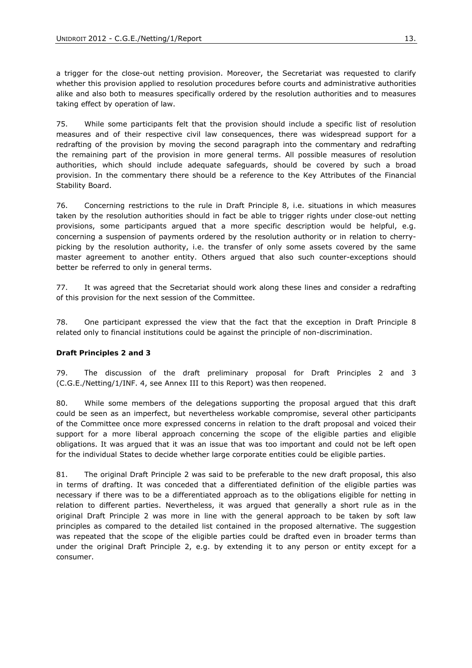a trigger for the close-out netting provision. Moreover, the Secretariat was requested to clarify whether this provision applied to resolution procedures before courts and administrative authorities alike and also both to measures specifically ordered by the resolution authorities and to measures taking effect by operation of law.

75. While some participants felt that the provision should include a specific list of resolution measures and of their respective civil law consequences, there was widespread support for a redrafting of the provision by moving the second paragraph into the commentary and redrafting the remaining part of the provision in more general terms. All possible measures of resolution authorities, which should include adequate safeguards, should be covered by such a broad provision. In the commentary there should be a reference to the Key Attributes of the Financial Stability Board.

76. Concerning restrictions to the rule in Draft Principle 8, i.e. situations in which measures taken by the resolution authorities should in fact be able to trigger rights under close-out netting provisions, some participants argued that a more specific description would be helpful, e.g. concerning a suspension of payments ordered by the resolution authority or in relation to cherrypicking by the resolution authority, i.e. the transfer of only some assets covered by the same master agreement to another entity. Others argued that also such counter-exceptions should better be referred to only in general terms.

77. It was agreed that the Secretariat should work along these lines and consider a redrafting of this provision for the next session of the Committee.

78. One participant expressed the view that the fact that the exception in Draft Principle 8 related only to financial institutions could be against the principle of non-discrimination.

#### **Draft Principles 2 and 3**

79. The discussion of the draft preliminary proposal for Draft Principles 2 and 3 (C.G.E./Netting/1/INF. 4, see Annex III to this Report) was then reopened.

80. While some members of the delegations supporting the proposal argued that this draft could be seen as an imperfect, but nevertheless workable compromise, several other participants of the Committee once more expressed concerns in relation to the draft proposal and voiced their support for a more liberal approach concerning the scope of the eligible parties and eligible obligations. It was argued that it was an issue that was too important and could not be left open for the individual States to decide whether large corporate entities could be eligible parties.

81. The original Draft Principle 2 was said to be preferable to the new draft proposal, this also in terms of drafting. It was conceded that a differentiated definition of the eligible parties was necessary if there was to be a differentiated approach as to the obligations eligible for netting in relation to different parties. Nevertheless, it was argued that generally a short rule as in the original Draft Principle 2 was more in line with the general approach to be taken by soft law principles as compared to the detailed list contained in the proposed alternative. The suggestion was repeated that the scope of the eligible parties could be drafted even in broader terms than under the original Draft Principle 2, e.g. by extending it to any person or entity except for a consumer.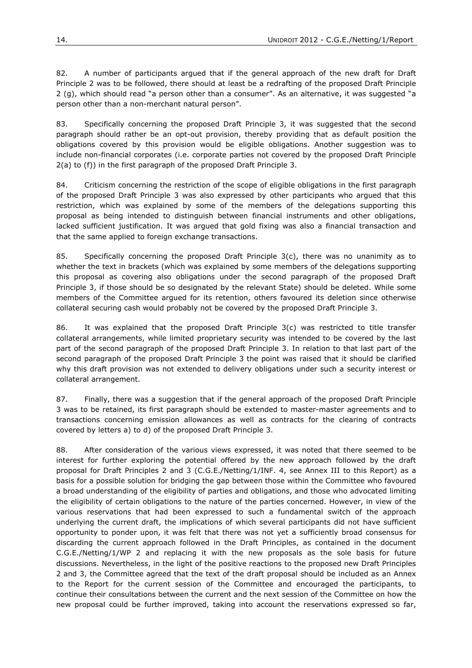82. A number of participants argued that if the general approach of the new draft for Draft Principle 2 was to be followed, there should at least be a redrafting of the proposed Draft Principle 2 (g), which should read "a person other than a consumer". As an alternative, it was suggested "a person other than a non-merchant natural person".

83. Specifically concerning the proposed Draft Principle 3, it was suggested that the second paragraph should rather be an opt-out provision, thereby providing that as default position the obligations covered by this provision would be eligible obligations. Another suggestion was to include non-financial corporates (i.e. corporate parties not covered by the proposed Draft Principle 2(a) to (f)) in the first paragraph of the proposed Draft Principle 3.

84. Criticism concerning the restriction of the scope of eligible obligations in the first paragraph of the proposed Draft Principle 3 was also expressed by other participants who argued that this restriction, which was explained by some of the members of the delegations supporting this proposal as being intended to distinguish between financial instruments and other obligations, lacked sufficient justification. It was argued that gold fixing was also a financial transaction and that the same applied to foreign exchange transactions.

85. Specifically concerning the proposed Draft Principle  $3(c)$ , there was no unanimity as to whether the text in brackets (which was explained by some members of the delegations supporting this proposal as covering also obligations under the second paragraph of the proposed Draft Principle 3, if those should be so designated by the relevant State) should be deleted. While some members of the Committee argued for its retention, others favoured its deletion since otherwise collateral securing cash would probably not be covered by the proposed Draft Principle 3.

86. It was explained that the proposed Draft Principle 3(c) was restricted to title transfer collateral arrangements, while limited proprietary security was intended to be covered by the last part of the second paragraph of the proposed Draft Principle 3. In relation to that last part of the second paragraph of the proposed Draft Principle 3 the point was raised that it should be clarified why this draft provision was not extended to delivery obligations under such a security interest or collateral arrangement.

87. Finally, there was a suggestion that if the general approach of the proposed Draft Principle 3 was to be retained, its first paragraph should be extended to master-master agreements and to transactions concerning emission allowances as well as contracts for the clearing of contracts covered by letters a) to d) of the proposed Draft Principle 3.

88. After consideration of the various views expressed, it was noted that there seemed to be interest for further exploring the potential offered by the new approach followed by the draft proposal for Draft Principles 2 and 3 (C.G.E./Netting/1/INF. 4, see Annex III to this Report) as a basis for a possible solution for bridging the gap between those within the Committee who favoured a broad understanding of the eligibility of parties and obligations, and those who advocated limiting the eligibility of certain obligations to the nature of the parties concerned. However, in view of the various reservations that had been expressed to such a fundamental switch of the approach underlying the current draft, the implications of which several participants did not have sufficient opportunity to ponder upon, it was felt that there was not yet a sufficiently broad consensus for discarding the current approach followed in the Draft Principles, as contained in the document C.G.E./Netting/1/WP 2 and replacing it with the new proposals as the sole basis for future discussions. Nevertheless, in the light of the positive reactions to the proposed new Draft Principles 2 and 3, the Committee agreed that the text of the draft proposal should be included as an Annex to the Report for the current session of the Committee and encouraged the participants, to continue their consultations between the current and the next session of the Committee on how the new proposal could be further improved, taking into account the reservations expressed so far,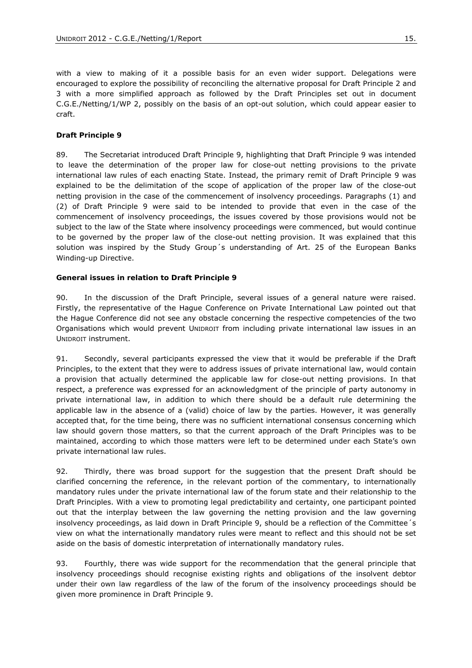with a view to making of it a possible basis for an even wider support. Delegations were encouraged to explore the possibility of reconciling the alternative proposal for Draft Principle 2 and 3 with a more simplified approach as followed by the Draft Principles set out in document C.G.E./Netting/1/WP 2, possibly on the basis of an opt-out solution, which could appear easier to craft.

#### **Draft Principle 9**

89. The Secretariat introduced Draft Principle 9, highlighting that Draft Principle 9 was intended to leave the determination of the proper law for close-out netting provisions to the private international law rules of each enacting State. Instead, the primary remit of Draft Principle 9 was explained to be the delimitation of the scope of application of the proper law of the close-out netting provision in the case of the commencement of insolvency proceedings. Paragraphs (1) and (2) of Draft Principle 9 were said to be intended to provide that even in the case of the commencement of insolvency proceedings, the issues covered by those provisions would not be subject to the law of the State where insolvency proceedings were commenced, but would continue to be governed by the proper law of the close-out netting provision. It was explained that this solution was inspired by the Study Group´s understanding of Art. 25 of the European Banks Winding-up Directive.

#### **General issues in relation to Draft Principle 9**

90. In the discussion of the Draft Principle, several issues of a general nature were raised. Firstly, the representative of the Hague Conference on Private International Law pointed out that the Hague Conference did not see any obstacle concerning the respective competencies of the two Organisations which would prevent UNIDROIT from including private international law issues in an UNIDROIT instrument.

91. Secondly, several participants expressed the view that it would be preferable if the Draft Principles, to the extent that they were to address issues of private international law, would contain a provision that actually determined the applicable law for close-out netting provisions. In that respect, a preference was expressed for an acknowledgment of the principle of party autonomy in private international law, in addition to which there should be a default rule determining the applicable law in the absence of a (valid) choice of law by the parties. However, it was generally accepted that, for the time being, there was no sufficient international consensus concerning which law should govern those matters, so that the current approach of the Draft Principles was to be maintained, according to which those matters were left to be determined under each State's own private international law rules.

92. Thirdly, there was broad support for the suggestion that the present Draft should be clarified concerning the reference, in the relevant portion of the commentary, to internationally mandatory rules under the private international law of the forum state and their relationship to the Draft Principles. With a view to promoting legal predictability and certainty, one participant pointed out that the interplay between the law governing the netting provision and the law governing insolvency proceedings, as laid down in Draft Principle 9, should be a reflection of the Committee´s view on what the internationally mandatory rules were meant to reflect and this should not be set aside on the basis of domestic interpretation of internationally mandatory rules.

93. Fourthly, there was wide support for the recommendation that the general principle that insolvency proceedings should recognise existing rights and obligations of the insolvent debtor under their own law regardless of the law of the forum of the insolvency proceedings should be given more prominence in Draft Principle 9.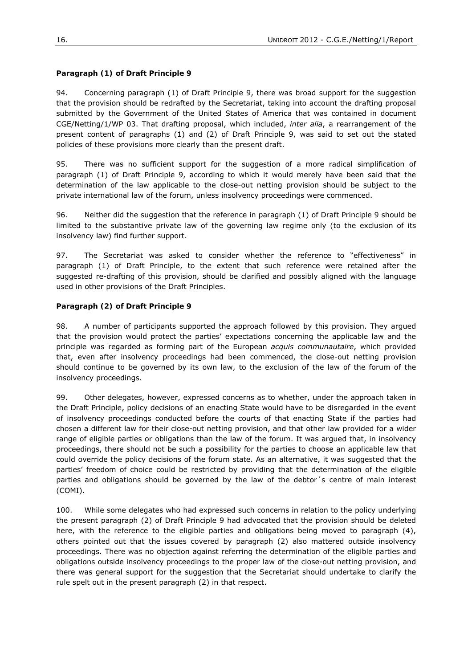# **Paragraph (1) of Draft Principle 9**

94. Concerning paragraph (1) of Draft Principle 9, there was broad support for the suggestion that the provision should be redrafted by the Secretariat, taking into account the drafting proposal submitted by the Government of the United States of America that was contained in document CGE/Netting/1/WP 03. That drafting proposal, which included, *inter alia*, a rearrangement of the present content of paragraphs (1) and (2) of Draft Principle 9, was said to set out the stated policies of these provisions more clearly than the present draft.

95. There was no sufficient support for the suggestion of a more radical simplification of paragraph (1) of Draft Principle 9, according to which it would merely have been said that the determination of the law applicable to the close-out netting provision should be subject to the private international law of the forum, unless insolvency proceedings were commenced.

96. Neither did the suggestion that the reference in paragraph (1) of Draft Principle 9 should be limited to the substantive private law of the governing law regime only (to the exclusion of its insolvency law) find further support.

97. The Secretariat was asked to consider whether the reference to "effectiveness" in paragraph (1) of Draft Principle, to the extent that such reference were retained after the suggested re-drafting of this provision, should be clarified and possibly aligned with the language used in other provisions of the Draft Principles.

# **Paragraph (2) of Draft Principle 9**

98. A number of participants supported the approach followed by this provision. They argued that the provision would protect the parties' expectations concerning the applicable law and the principle was regarded as forming part of the European *acquis communautaire*, which provided that, even after insolvency proceedings had been commenced, the close-out netting provision should continue to be governed by its own law, to the exclusion of the law of the forum of the insolvency proceedings.

99. Other delegates, however, expressed concerns as to whether, under the approach taken in the Draft Principle, policy decisions of an enacting State would have to be disregarded in the event of insolvency proceedings conducted before the courts of that enacting State if the parties had chosen a different law for their close-out netting provision, and that other law provided for a wider range of eligible parties or obligations than the law of the forum. It was argued that, in insolvency proceedings, there should not be such a possibility for the parties to choose an applicable law that could override the policy decisions of the forum state. As an alternative, it was suggested that the parties' freedom of choice could be restricted by providing that the determination of the eligible parties and obligations should be governed by the law of the debtor´s centre of main interest (COMI).

100. While some delegates who had expressed such concerns in relation to the policy underlying the present paragraph (2) of Draft Principle 9 had advocated that the provision should be deleted here, with the reference to the eligible parties and obligations being moved to paragraph (4), others pointed out that the issues covered by paragraph (2) also mattered outside insolvency proceedings. There was no objection against referring the determination of the eligible parties and obligations outside insolvency proceedings to the proper law of the close-out netting provision, and there was general support for the suggestion that the Secretariat should undertake to clarify the rule spelt out in the present paragraph (2) in that respect.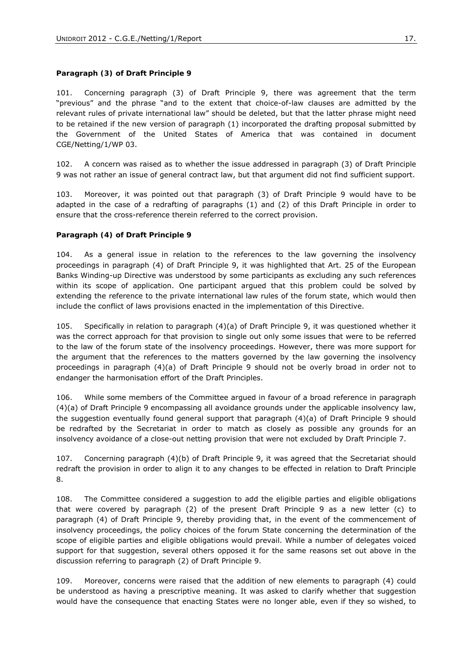#### **Paragraph (3) of Draft Principle 9**

101. Concerning paragraph (3) of Draft Principle 9, there was agreement that the term "previous" and the phrase "and to the extent that choice-of-law clauses are admitted by the relevant rules of private international law" should be deleted, but that the latter phrase might need to be retained if the new version of paragraph (1) incorporated the drafting proposal submitted by the Government of the United States of America that was contained in document CGE/Netting/1/WP 03.

102. A concern was raised as to whether the issue addressed in paragraph (3) of Draft Principle 9 was not rather an issue of general contract law, but that argument did not find sufficient support.

103. Moreover, it was pointed out that paragraph (3) of Draft Principle 9 would have to be adapted in the case of a redrafting of paragraphs (1) and (2) of this Draft Principle in order to ensure that the cross-reference therein referred to the correct provision.

#### **Paragraph (4) of Draft Principle 9**

104. As a general issue in relation to the references to the law governing the insolvency proceedings in paragraph (4) of Draft Principle 9, it was highlighted that Art. 25 of the European Banks Winding-up Directive was understood by some participants as excluding any such references within its scope of application. One participant argued that this problem could be solved by extending the reference to the private international law rules of the forum state, which would then include the conflict of laws provisions enacted in the implementation of this Directive.

105. Specifically in relation to paragraph (4)(a) of Draft Principle 9, it was questioned whether it was the correct approach for that provision to single out only some issues that were to be referred to the law of the forum state of the insolvency proceedings. However, there was more support for the argument that the references to the matters governed by the law governing the insolvency proceedings in paragraph (4)(a) of Draft Principle 9 should not be overly broad in order not to endanger the harmonisation effort of the Draft Principles.

106. While some members of the Committee argued in favour of a broad reference in paragraph (4)(a) of Draft Principle 9 encompassing all avoidance grounds under the applicable insolvency law, the suggestion eventually found general support that paragraph (4)(a) of Draft Principle 9 should be redrafted by the Secretariat in order to match as closely as possible any grounds for an insolvency avoidance of a close-out netting provision that were not excluded by Draft Principle 7.

107. Concerning paragraph (4)(b) of Draft Principle 9, it was agreed that the Secretariat should redraft the provision in order to align it to any changes to be effected in relation to Draft Principle 8.

108. The Committee considered a suggestion to add the eligible parties and eligible obligations that were covered by paragraph (2) of the present Draft Principle 9 as a new letter (c) to paragraph (4) of Draft Principle 9, thereby providing that, in the event of the commencement of insolvency proceedings, the policy choices of the forum State concerning the determination of the scope of eligible parties and eligible obligations would prevail. While a number of delegates voiced support for that suggestion, several others opposed it for the same reasons set out above in the discussion referring to paragraph (2) of Draft Principle 9.

109. Moreover, concerns were raised that the addition of new elements to paragraph (4) could be understood as having a prescriptive meaning. It was asked to clarify whether that suggestion would have the consequence that enacting States were no longer able, even if they so wished, to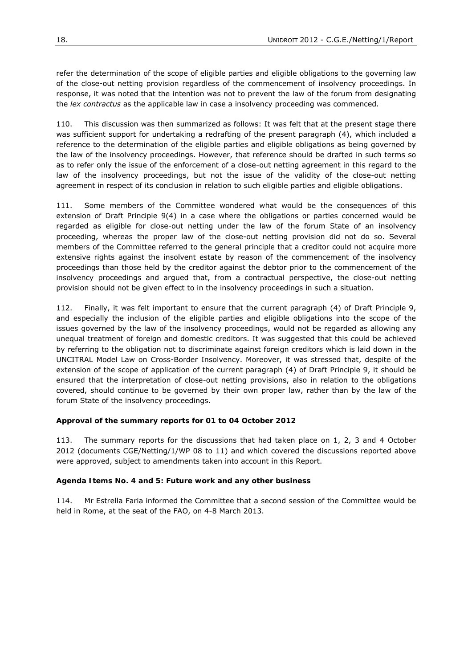refer the determination of the scope of eligible parties and eligible obligations to the governing law of the close-out netting provision regardless of the commencement of insolvency proceedings. In response, it was noted that the intention was not to prevent the law of the forum from designating the *lex contractus* as the applicable law in case a insolvency proceeding was commenced.

110. This discussion was then summarized as follows: It was felt that at the present stage there was sufficient support for undertaking a redrafting of the present paragraph (4), which included a reference to the determination of the eligible parties and eligible obligations as being governed by the law of the insolvency proceedings. However, that reference should be drafted in such terms so as to refer only the issue of the enforcement of a close-out netting agreement in this regard to the law of the insolvency proceedings, but not the issue of the validity of the close-out netting agreement in respect of its conclusion in relation to such eligible parties and eligible obligations.

111. Some members of the Committee wondered what would be the consequences of this extension of Draft Principle 9(4) in a case where the obligations or parties concerned would be regarded as eligible for close-out netting under the law of the forum State of an insolvency proceeding, whereas the proper law of the close-out netting provision did not do so. Several members of the Committee referred to the general principle that a creditor could not acquire more extensive rights against the insolvent estate by reason of the commencement of the insolvency proceedings than those held by the creditor against the debtor prior to the commencement of the insolvency proceedings and argued that, from a contractual perspective, the close-out netting provision should not be given effect to in the insolvency proceedings in such a situation.

112. Finally, it was felt important to ensure that the current paragraph (4) of Draft Principle 9, and especially the inclusion of the eligible parties and eligible obligations into the scope of the issues governed by the law of the insolvency proceedings, would not be regarded as allowing any unequal treatment of foreign and domestic creditors. It was suggested that this could be achieved by referring to the obligation not to discriminate against foreign creditors which is laid down in the UNCITRAL Model Law on Cross-Border Insolvency. Moreover, it was stressed that, despite of the extension of the scope of application of the current paragraph (4) of Draft Principle 9, it should be ensured that the interpretation of close-out netting provisions, also in relation to the obligations covered, should continue to be governed by their own proper law, rather than by the law of the forum State of the insolvency proceedings.

# **Approval of the summary reports for 01 to 04 October 2012**

113. The summary reports for the discussions that had taken place on 1, 2, 3 and 4 October 2012 (documents CGE/Netting/1/WP 08 to 11) and which covered the discussions reported above were approved, subject to amendments taken into account in this Report.

# **Agenda Items No. 4 and 5: Future work and any other business**

114. Mr Estrella Faria informed the Committee that a second session of the Committee would be held in Rome, at the seat of the FAO, on 4-8 March 2013.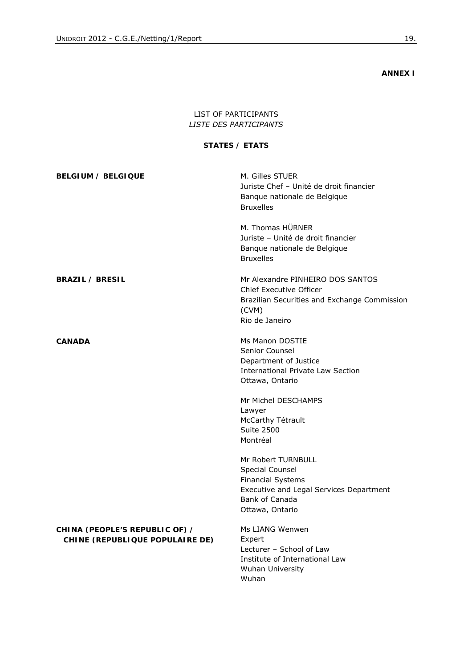**ANNEX I** 

# LIST OF PARTICIPANTS *LISTE DES PARTICIPANTS*

#### **STATES /** *ETATS*

| <b>BELGIUM / BELGIQUE</b>                                         | M. Gilles STUER<br>Juriste Chef - Unité de droit financier<br>Banque nationale de Belgique<br><b>Bruxelles</b>                                    |
|-------------------------------------------------------------------|---------------------------------------------------------------------------------------------------------------------------------------------------|
|                                                                   | M. Thomas HÜRNER<br>Juriste - Unité de droit financier<br>Banque nationale de Belgique<br><b>Bruxelles</b>                                        |
| <b>BRAZIL / BRESIL</b>                                            | Mr Alexandre PINHEIRO DOS SANTOS<br>Chief Executive Officer<br>Brazilian Securities and Exchange Commission<br>(CVM)<br>Rio de Janeiro            |
| <b>CANADA</b>                                                     | Ms Manon DOSTIE<br>Senior Counsel<br>Department of Justice<br>International Private Law Section<br>Ottawa, Ontario                                |
|                                                                   | Mr Michel DESCHAMPS<br>Lawyer<br>McCarthy Tétrault<br><b>Suite 2500</b><br>Montréal                                                               |
|                                                                   | Mr Robert TURNBULL<br>Special Counsel<br><b>Financial Systems</b><br>Executive and Legal Services Department<br>Bank of Canada<br>Ottawa, Ontario |
| CHINA (PEOPLE'S REPUBLIC OF) /<br>CHINE (REPUBLIQUE POPULAIRE DE) | Ms LIANG Wenwen<br>Expert<br>Lecturer - School of Law<br>Institute of International Law<br><b>Wuhan University</b>                                |

Wuhan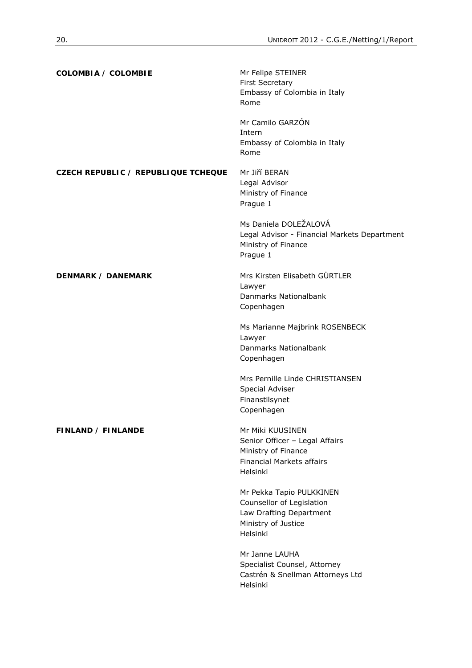| COLOMBIA / COLOMBIE                        | Mr Felipe STEINER<br><b>First Secretary</b><br>Embassy of Colombia in Italy<br>Rome                                       |
|--------------------------------------------|---------------------------------------------------------------------------------------------------------------------------|
|                                            | Mr Camilo GARZÓN<br>Intern<br>Embassy of Colombia in Italy<br>Rome                                                        |
| <b>CZECH REPUBLIC / REPUBLIQUE TCHEQUE</b> | Mr Jiří BERAN<br>Legal Advisor<br>Ministry of Finance<br>Prague 1                                                         |
|                                            | Ms Daniela DOLEŽALOVÁ<br>Legal Advisor - Financial Markets Department<br>Ministry of Finance<br>Prague 1                  |
| <b>DENMARK / DANEMARK</b>                  | Mrs Kirsten Elisabeth GÜRTLER<br>Lawyer<br>Danmarks Nationalbank<br>Copenhagen                                            |
|                                            | Ms Marianne Majbrink ROSENBECK<br>Lawyer<br>Danmarks Nationalbank<br>Copenhagen                                           |
|                                            | Mrs Pernille Linde CHRISTIANSEN<br>Special Adviser<br>Finanstilsynet<br>Copenhagen                                        |
| FINLAND / FINLANDE                         | Mr Miki KUUSINEN<br>Senior Officer - Legal Affairs<br>Ministry of Finance<br><b>Financial Markets affairs</b><br>Helsinki |
|                                            | Mr Pekka Tapio PULKKINEN<br>Counsellor of Legislation<br>Law Drafting Department<br>Ministry of Justice<br>Helsinki       |
|                                            | Mr Janne LAUHA<br>Specialist Counsel, Attorney<br>Castrén & Snellman Attorneys Ltd<br>Helsinki                            |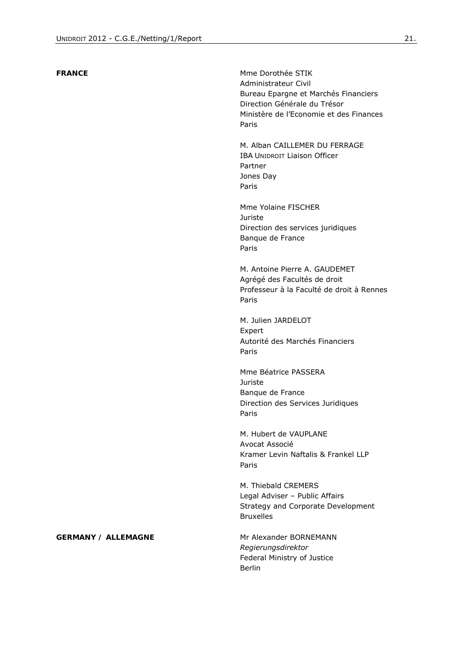**FRANCE** Mme Dorothée STIK Administrateur Civil Bureau Epargne et Marchés Financiers Direction Générale du Trésor Ministère de l'Economie et des Finances Paris

> M. Alban CAILLEMER DU FERRAGE IBA UNIDROIT Liaison Officer Partner Jones Day Paris

Mme Yolaine FISCHER Juriste Direction des services juridiques Banque de France Paris

M. Antoine Pierre A. GAUDEMET Agrégé des Facultés de droit Professeur à la Faculté de droit à Rennes Paris

M. Julien JARDELOT Expert Autorité des Marchés Financiers Paris

Mme Béatrice PASSERA Juriste Banque de France Direction des Services Juridiques Paris

M. Hubert de VAUPLANE Avocat Associé Kramer Levin Naftalis & Frankel LLP Paris

M. Thiebald CREMERS Legal Adviser – Public Affairs Strategy and Corporate Development Bruxelles

*Regierungsdirektor*  Federal Ministry of Justice Berlin

#### **GERMANY / ALLEMAGNE** Mr Alexander BORNEMANN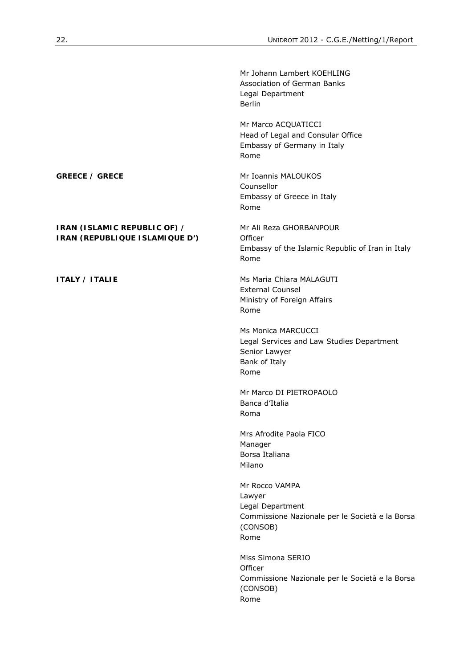|                                                                | Mr Johann Lambert KOEHLING<br>Association of German Banks<br>Legal Department<br><b>Berlin</b>                      |
|----------------------------------------------------------------|---------------------------------------------------------------------------------------------------------------------|
|                                                                | Mr Marco ACQUATICCI<br>Head of Legal and Consular Office<br>Embassy of Germany in Italy<br>Rome                     |
| <b>GREECE / GRECE</b>                                          | Mr Ioannis MALOUKOS<br>Counsellor<br>Embassy of Greece in Italy<br>Rome                                             |
| IRAN (ISLAMIC REPUBLIC OF) /<br>IRAN (REPUBLIQUE ISLAMIQUE D') | Mr Ali Reza GHORBANPOUR<br>Officer<br>Embassy of the Islamic Republic of Iran in Italy<br>Rome                      |
| <b>ITALY / ITALIE</b>                                          | Ms Maria Chiara MALAGUTI<br><b>External Counsel</b><br>Ministry of Foreign Affairs<br>Rome                          |
|                                                                | Ms Monica MARCUCCI<br>Legal Services and Law Studies Department<br>Senior Lawyer<br>Bank of Italy<br>Rome           |
|                                                                | Mr Marco DI PIETROPAOLO<br>Banca d'Italia<br>Roma                                                                   |
|                                                                | Mrs Afrodite Paola FICO<br>Manager<br>Borsa Italiana<br>Milano                                                      |
|                                                                | Mr Rocco VAMPA<br>Lawyer<br>Legal Department<br>Commissione Nazionale per le Società e la Borsa<br>(CONSOB)<br>Rome |
|                                                                | Miss Simona SERIO<br>Officer<br>Commissione Nazionale per le Società e la Borsa<br>(CONSOB)<br>Rome                 |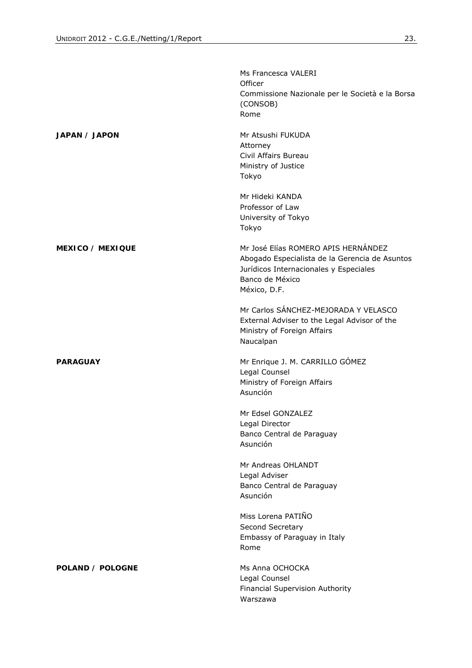|                         | Ms Francesca VALERI                                        |
|-------------------------|------------------------------------------------------------|
|                         | Officer<br>Commissione Nazionale per le Società e la Borsa |
|                         | (CONSOB)                                                   |
|                         | Rome                                                       |
| JAPAN / JAPON           | Mr Atsushi FUKUDA                                          |
|                         | Attorney                                                   |
|                         | Civil Affairs Bureau                                       |
|                         | Ministry of Justice                                        |
|                         | Tokyo                                                      |
|                         | Mr Hideki KANDA                                            |
|                         | Professor of Law                                           |
|                         | University of Tokyo                                        |
|                         | Tokyo                                                      |
| <b>MEXICO / MEXIQUE</b> | Mr José Elías ROMERO APIS HERNÁNDEZ                        |
|                         | Abogado Especialista de la Gerencia de Asuntos             |
|                         | Jurídicos Internacionales y Especiales                     |
|                         | Banco de México                                            |
|                         | México, D.F.                                               |
|                         | Mr Carlos SÁNCHEZ-MEJORADA Y VELASCO                       |
|                         | External Adviser to the Legal Advisor of the               |
|                         | Ministry of Foreign Affairs                                |
|                         | Naucalpan                                                  |
| <b>PARAGUAY</b>         | Mr Enrique J. M. CARRILLO GÓMEZ                            |
|                         | Legal Counsel                                              |
|                         | Ministry of Foreign Affairs                                |
|                         | Asunción                                                   |
|                         | Mr Edsel GONZALEZ                                          |
|                         | Legal Director                                             |
|                         | Banco Central de Paraguay                                  |
|                         | Asunción                                                   |
|                         | Mr Andreas OHLANDT                                         |
|                         | Legal Adviser                                              |
|                         | Banco Central de Paraguay                                  |
|                         | Asunción                                                   |
|                         | Miss Lorena PATIÑO                                         |
|                         | Second Secretary                                           |
|                         | Embassy of Paraguay in Italy                               |
|                         | Rome                                                       |
| POLAND / POLOGNE        | Ms Anna OCHOCKA                                            |
|                         | Legal Counsel                                              |
|                         | Financial Supervision Authority                            |
|                         | Warszawa                                                   |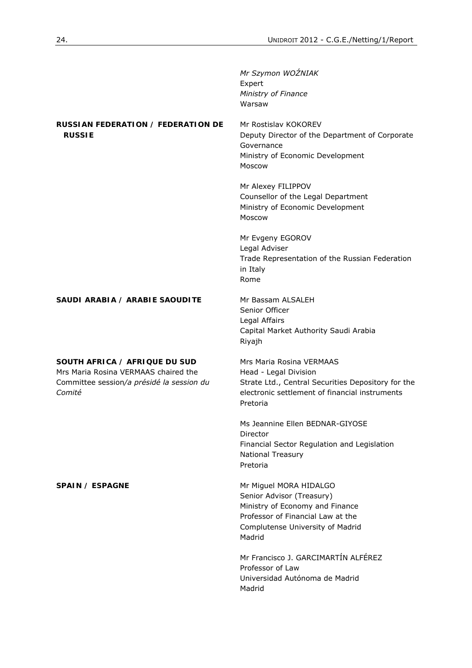|                                                                                                                              | Mr Szymon WOŹNIAK<br>Expert<br>Ministry of Finance<br>Warsaw                                                                                                              |
|------------------------------------------------------------------------------------------------------------------------------|---------------------------------------------------------------------------------------------------------------------------------------------------------------------------|
| RUSSIAN FEDERATION / FEDERATION DE<br><b>RUSSIE</b>                                                                          | Mr Rostislav KOKOREV<br>Deputy Director of the Department of Corporate<br>Governance<br>Ministry of Economic Development<br>Moscow                                        |
|                                                                                                                              | Mr Alexey FILIPPOV<br>Counsellor of the Legal Department<br>Ministry of Economic Development<br>Moscow                                                                    |
|                                                                                                                              | Mr Evgeny EGOROV<br>Legal Adviser<br>Trade Representation of the Russian Federation<br>in Italy<br>Rome                                                                   |
| SAUDI ARABIA / ARABIE SAOUDITE                                                                                               | Mr Bassam ALSALEH<br>Senior Officer<br>Legal Affairs<br>Capital Market Authority Saudi Arabia<br>Riyajh                                                                   |
| SOUTH AFRICA / AFRIQUE DU SUD<br>Mrs Maria Rosina VERMAAS chaired the<br>Committee session/a présidé la session du<br>Comité | Mrs Maria Rosina VERMAAS<br>Head - Legal Division<br>Strate Ltd., Central Securities Depository for the<br>electronic settlement of financial instruments<br>Pretoria     |
|                                                                                                                              | Ms Jeannine Ellen BEDNAR-GIYOSE<br>Director<br>Financial Sector Regulation and Legislation<br><b>National Treasury</b><br>Pretoria                                        |
| SPAIN / ESPAGNE                                                                                                              | Mr Miguel MORA HIDALGO<br>Senior Advisor (Treasury)<br>Ministry of Economy and Finance<br>Professor of Financial Law at the<br>Complutense University of Madrid<br>Madrid |
|                                                                                                                              | Mr Francisco J. GARCIMARTÍN ALFÉREZ<br>Professor of Law<br>Universidad Autónoma de Madrid<br>Madrid                                                                       |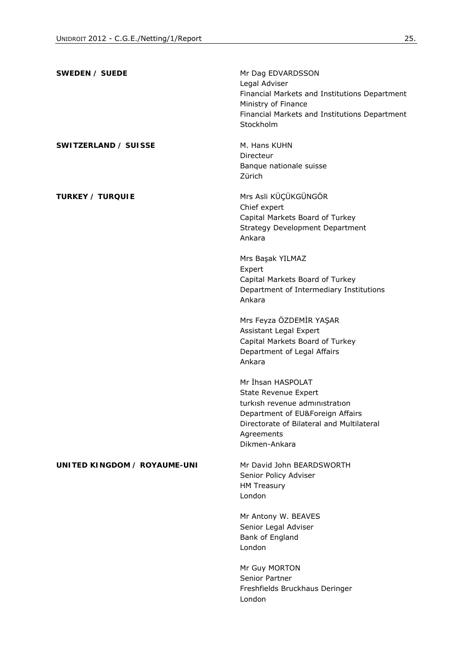| SWEDEN / SUEDE               | Mr Dag EDVARDSSON<br>Legal Adviser<br>Financial Markets and Institutions Department<br>Ministry of Finance<br>Financial Markets and Institutions Department<br>Stockholm                           |
|------------------------------|----------------------------------------------------------------------------------------------------------------------------------------------------------------------------------------------------|
| SWITZERLAND / SUISSE         | M. Hans KUHN<br>Directeur<br>Banque nationale suisse<br>Zürich                                                                                                                                     |
| <b>TURKEY / TURQUIE</b>      | Mrs Asli KÜÇÜKGÜNGÖR<br>Chief expert<br>Capital Markets Board of Turkey<br><b>Strategy Development Department</b><br>Ankara                                                                        |
|                              | Mrs Başak YILMAZ<br>Expert<br>Capital Markets Board of Turkey<br>Department of Intermediary Institutions<br>Ankara                                                                                 |
|                              | Mrs Feyza ÖZDEMİR YAŞAR<br>Assistant Legal Expert<br>Capital Markets Board of Turkey<br>Department of Legal Affairs<br>Ankara                                                                      |
|                              | Mr İhsan HASPOLAT<br><b>State Revenue Expert</b><br>turkish revenue administration<br>Department of EU&Foreign Affairs<br>Directorate of Bilateral and Multilateral<br>Agreements<br>Dikmen-Ankara |
| UNITED KINGDOM / ROYAUME-UNI | Mr David John BEARDSWORTH<br>Senior Policy Adviser<br><b>HM Treasury</b><br>London                                                                                                                 |
|                              | Mr Antony W. BEAVES<br>Senior Legal Adviser<br>Bank of England<br>London                                                                                                                           |
|                              | Mr Guy MORTON<br>Senior Partner<br>Freshfields Bruckhaus Deringer<br>London                                                                                                                        |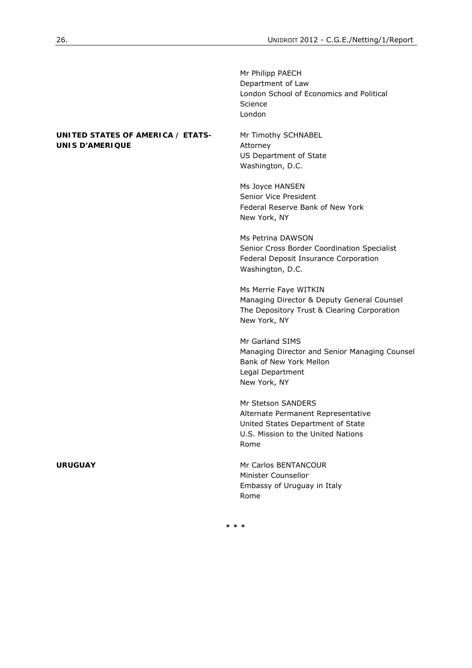|                                                             | Mr Philipp PAECH<br>Department of Law<br>London School of Economics and Political<br>Science<br>London                                      |
|-------------------------------------------------------------|---------------------------------------------------------------------------------------------------------------------------------------------|
| UNITED STATES OF AMERICA / ETATS-<br><b>UNIS D'AMERIQUE</b> | Mr Timothy SCHNABEL<br>Attorney<br>US Department of State<br>Washington, D.C.                                                               |
|                                                             | Ms Joyce HANSEN<br>Senior Vice President<br>Federal Reserve Bank of New York<br>New York, NY                                                |
|                                                             | Ms Petrina DAWSON<br>Senior Cross Border Coordination Specialist<br>Federal Deposit Insurance Corporation<br>Washington, D.C.               |
|                                                             | Ms Merrie Faye WITKIN<br>Managing Director & Deputy General Counsel<br>The Depository Trust & Clearing Corporation<br>New York, NY          |
|                                                             | Mr Garland SIMS<br>Managing Director and Senior Managing Counsel<br>Bank of New York Mellon<br>Legal Department<br>New York, NY             |
|                                                             | Mr Stetson SANDERS<br>Alternate Permanent Representative<br>United States Department of State<br>U.S. Mission to the United Nations<br>Rome |
| <b>URUGUAY</b>                                              | Mr Carlos BENTANCOUR<br>Minister Counsellor<br>Embassy of Uruguay in Italy<br>Rome                                                          |
|                                                             | * * *                                                                                                                                       |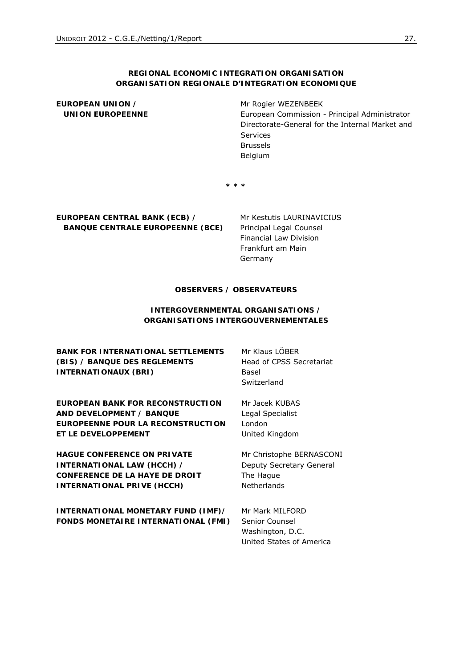### **REGIONAL ECONOMIC INTEGRATION ORGANISATION**  *ORGANISATION REGIONALE D'INTEGRATION ECONOMIQUE*

# **EUROPEAN UNION /**   *UNION EUROPEENNE*

Mr Rogier WEZENBEEK European Commission - Principal Administrator Directorate-General for the Internal Market and Services Brussels Belgium

**\* \* \*** 

**EUROPEAN CENTRAL BANK (ECB) /**   *BANQUE CENTRALE EUROPEENNE (BCE)*  Mr Kestutis LAURINAVICIUS Principal Legal Counsel Financial Law Division Frankfurt am Main Germany

# **OBSERVERS /** *OBSERVATEURS*

### **INTERGOVERNMENTAL ORGANISATIONS /**  *ORGANISATIONS INTERGOUVERNEMENTALES*

**BANK FOR INTERNATIONAL SETTLEMENTS (BIS) /** *BANQUE DES REGLEMENTS INTERNATIONAUX (BRI)* 

**EUROPEAN BANK FOR RECONSTRUCTION AND DEVELOPMENT /** *BANQUE EUROPEENNE POUR LA RECONSTRUCTION ET LE DEVELOPPEMENT*

**HAGUE CONFERENCE ON PRIVATE INTERNATIONAL LAW (HCCH) /**  *CONFERENCE DE LA HAYE DE DROIT INTERNATIONAL PRIVE (HCCH)* 

**INTERNATIONAL MONETARY FUND (IMF)/**  *FONDS MONETAIRE INTERNATIONAL (FMI)*  Mr Klaus LÖBER Head of CPSS Secretariat Basel Switzerland

Mr Jacek KUBAS Legal Specialist London United Kingdom

Mr Christophe BERNASCONI Deputy Secretary General The Hague Netherlands

Mr Mark MILFORD Senior Counsel Washington, D.C. United States of America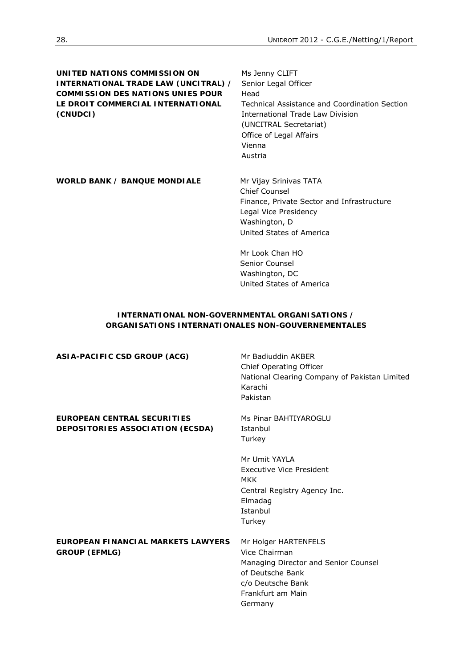**UNITED NATIONS COMMISSION ON INTERNATIONAL TRADE LAW (UNCITRAL) /**  *COMMISSION DES NATIONS UNIES POUR LE DROIT COMMERCIAL INTERNATIONAL (CNUDCI)* 

Ms Jenny CLIFT Senior Legal Officer Head Technical Assistance and Coordination Section International Trade Law Division (UNCITRAL Secretariat) Office of Legal Affairs Vienna Austria

WORLD BANK / **BANQUE MONDIALE** Mr Vijay Srinivas TATA

Chief Counsel Finance, Private Sector and Infrastructure Legal Vice Presidency Washington, D United States of America

Mr Look Chan HO Senior Counsel Washington, DC United States of America

# **INTERNATIONAL NON-GOVERNMENTAL ORGANISATIONS /**  *ORGANISATIONS INTERNATIONALES NON-GOUVERNEMENTALES*

| ASIA-PACIFIC CSD GROUP (ACG)       | Mr Badiuddin AKBER<br>Chief Operating Officer<br>National Clearing Company of Pakistan Limited<br>Karachi<br>Pakistan |
|------------------------------------|-----------------------------------------------------------------------------------------------------------------------|
| EUROPEAN CENTRAL SECURITIES        | Ms Pinar BAHTIYAROGLU                                                                                                 |
| DEPOSITORIES ASSOCIATION (ECSDA)   | Istanbul                                                                                                              |
|                                    | Turkey                                                                                                                |
|                                    | Mr Umit YAYLA                                                                                                         |
|                                    | Executive Vice President<br>MKK                                                                                       |
|                                    | Central Registry Agency Inc.                                                                                          |
|                                    | Elmadag<br>Istanbul                                                                                                   |
|                                    |                                                                                                                       |
|                                    | Turkey                                                                                                                |
| EUROPEAN FINANCIAL MARKETS LAWYERS | Mr Holger HARTENFELS                                                                                                  |
| <b>GROUP (EFMLG)</b>               | Vice Chairman                                                                                                         |
|                                    | Managing Director and Senior Counsel                                                                                  |
|                                    | of Deutsche Bank                                                                                                      |
|                                    | c/o Deutsche Bank                                                                                                     |
|                                    | Frankfurt am Main                                                                                                     |
|                                    | Germany                                                                                                               |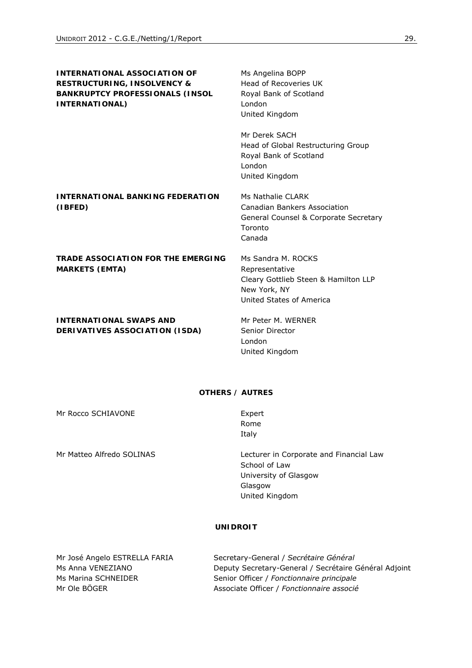| <b>INTERNATIONAL ASSOCIATION OF</b><br><b>RESTRUCTURING, INSOLVENCY &amp;</b><br><b>BANKRUPTCY PROFESSIONALS (INSOL</b><br><b>INTERNATIONAL)</b> | Ms Angelina BOPP<br>Head of Recoveries UK<br>Royal Bank of Scotland<br>London<br>United Kingdom                          |
|--------------------------------------------------------------------------------------------------------------------------------------------------|--------------------------------------------------------------------------------------------------------------------------|
|                                                                                                                                                  | Mr Derek SACH<br>Head of Global Restructuring Group<br>Royal Bank of Scotland<br>London<br>United Kingdom                |
| <b>INTERNATIONAL BANKING FEDERATION</b><br>(IBFED)                                                                                               | Ms Nathalie CLARK<br>Canadian Bankers Association<br>General Counsel & Corporate Secretary<br>Toronto<br>Canada          |
| <b>TRADE ASSOCIATION FOR THE EMERGING</b><br><b>MARKETS (EMTA)</b>                                                                               | Ms Sandra M. ROCKS<br>Representative<br>Cleary Gottlieb Steen & Hamilton LLP<br>New York, NY<br>United States of America |
| <b>INTERNATIONAL SWAPS AND</b><br>DERIVATIVES ASSOCIATION (ISDA)                                                                                 | Mr Peter M. WERNER<br>Senior Director<br>London<br>United Kingdom                                                        |

#### **OTHERS /** *AUTRES*

Rome Italy

Mr Rocco SCHIAVONE **Expert** 

Mr Matteo Alfredo SOLINAS Lecturer in Corporate and Financial Law School of Law University of Glasgow Glasgow United Kingdom

# **UNIDROIT**

Mr José Angelo ESTRELLA FARIA Secretary-General / Secrétaire Général Ms Anna VENEZIANO Deputy Secretary-General / Secrétaire Général Adjoint Ms Marina SCHNEIDER Senior Officer / *Fonctionnaire principale* Mr Ole BÖGER Associate Officer / *Fonctionnaire associé*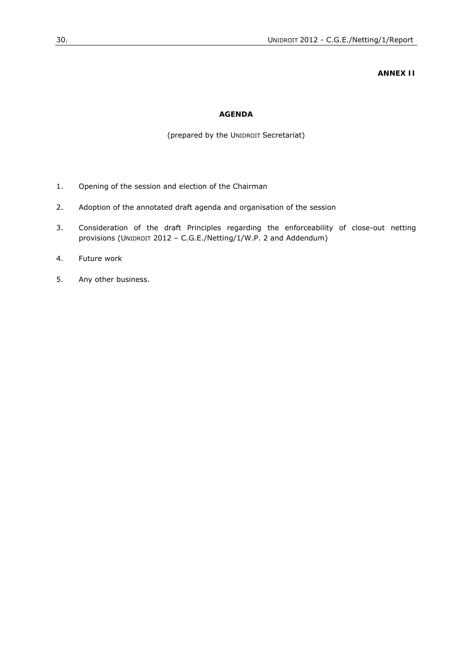#### **ANNEX II**

# **AGENDA**

### (prepared by the UNIDROIT Secretariat)

- 1. Opening of the session and election of the Chairman
- 2. Adoption of the annotated draft agenda and organisation of the session
- 3. Consideration of the draft Principles regarding the enforceability of close-out netting provisions (UNIDROIT 2012 – C.G.E./Netting/1/W.P. 2 and Addendum)
- 4. Future work
- 5. Any other business.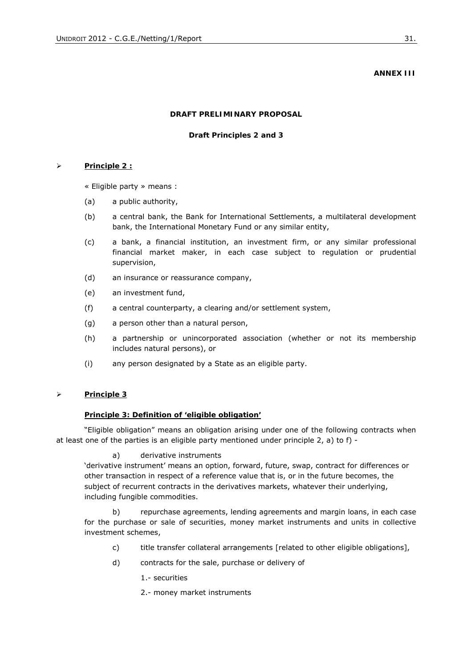#### **ANNEX III**

#### **DRAFT PRELIMINARY PROPOSAL**

#### **Draft Principles 2 and 3**

#### ¾ **Principle 2 :**

« Eligible party » means :

- (a) a public authority,
- (b) a central bank, the Bank for International Settlements, a multilateral development bank, the International Monetary Fund or any similar entity,
- (c) a bank, a financial institution, an investment firm, or any similar professional financial market maker, in each case subject to regulation or prudential supervision,
- (d) an insurance or reassurance company,
- (e) an investment fund,
- (f) a central counterparty, a clearing and/or settlement system,
- (g) a person other than a natural person,
- (h) a partnership or unincorporated association (whether or not its membership includes natural persons), or
- (i) any person designated by a State as an eligible party.

#### ¾ **Principle 3**

#### **Principle 3: Definition of 'eligible obligation'**

"Eligible obligation" means an obligation arising under one of the following contracts when at least one of the parties is an eligible party mentioned under principle 2, a) to f) -

#### a) derivative instruments

'derivative instrument' means an option, forward, future, swap, contract for differences or other transaction in respect of a reference value that is, or in the future becomes, the subject of recurrent contracts in the derivatives markets, whatever their underlying, including fungible commodities.

b) repurchase agreements, lending agreements and margin loans, in each case for the purchase or sale of securities, money market instruments and units in collective investment schemes,

- c) title transfer collateral arrangements [related to other eligible obligations],
- d) contracts for the sale, purchase or delivery of

1.- securities

2.- money market instruments